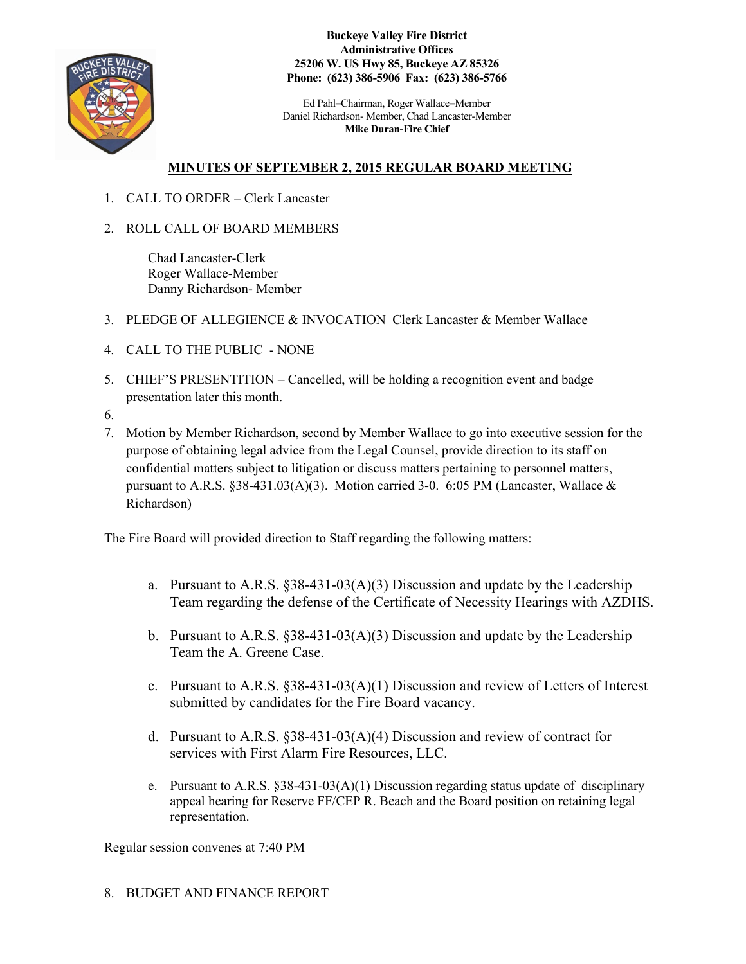

**Buckeye Valley Fire District Administrative Offices 25206 W. US Hwy 85, Buckeye AZ 85326 Phone: (623) 386-5906 Fax: (623) 386-5766**

Ed Pahl–Chairman, Roger Wallace–Member Daniel Richardson- Member, Chad Lancaster-Member **Mike Duran-Fire Chief**

# **MINUTES OF SEPTEMBER 2, 2015 REGULAR BOARD MEETING**

- 1. CALL TO ORDER Clerk Lancaster
- 2. ROLL CALL OF BOARD MEMBERS

Chad Lancaster-Clerk Roger Wallace-Member Danny Richardson- Member

- 3. PLEDGE OF ALLEGIENCE & INVOCATION Clerk Lancaster & Member Wallace
- 4. CALL TO THE PUBLIC NONE
- 5. CHIEF'S PRESENTITION Cancelled, will be holding a recognition event and badge presentation later this month.
- 6.
- 7. Motion by Member Richardson, second by Member Wallace to go into executive session for the purpose of obtaining legal advice from the Legal Counsel, provide direction to its staff on confidential matters subject to litigation or discuss matters pertaining to personnel matters, pursuant to A.R.S. §38-431.03(A)(3). Motion carried 3-0. 6:05 PM (Lancaster, Wallace & Richardson)

The Fire Board will provided direction to Staff regarding the following matters:

- a. Pursuant to A.R.S.  $\S 38-431-03(A)(3)$  Discussion and update by the Leadership Team regarding the defense of the Certificate of Necessity Hearings with AZDHS.
- b. Pursuant to A.R.S.  $\S 38-431-03(A)(3)$  Discussion and update by the Leadership Team the A. Greene Case.
- c. Pursuant to A.R.S.  $\S 38-431-03(A)(1)$  Discussion and review of Letters of Interest submitted by candidates for the Fire Board vacancy.
- d. Pursuant to A.R.S. §38-431-03(A)(4) Discussion and review of contract for services with First Alarm Fire Resources, LLC.
- e. Pursuant to A.R.S.  $\S 38-431-03(A)(1)$  Discussion regarding status update of disciplinary appeal hearing for Reserve FF/CEP R. Beach and the Board position on retaining legal representation.

Regular session convenes at 7:40 PM

8. BUDGET AND FINANCE REPORT